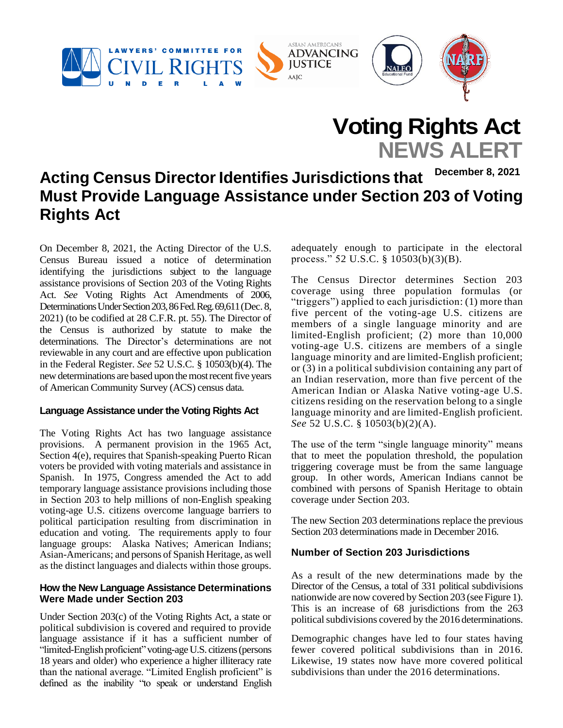

# **Voting Rights Act NEWS ALERT**

# **Acting Census Director Identifies Jurisdictions that Must Provide Language Assistance under Section 203 of Voting Rights Act December 8, 2021**

On December 8, 2021, the Acting Director of the U.S. Census Bureau issued a notice of determination identifying the jurisdictions subject to the language assistance provisions of Section 203 of the Voting Rights Act. *See* Voting Rights Act Amendments of 2006, Determinations Under Section 203, 86 Fed. Reg. 69,611 (Dec. 8, 2021) (to be codified at 28 C.F.R. pt. 55). The Director of the Census is authorized by statute to make the determinations. The Director's determinations are not reviewable in any court and are effective upon publication in the Federal Register. *See* 52 U.S.C. § 10503(b)(4). The new determinations are based upon the most recent five years of American Community Survey (ACS) census data.

#### **Language Assistance under the Voting Rights Act**

The Voting Rights Act has two language assistance provisions. A permanent provision in the 1965 Act, Section 4(e), requires that Spanish-speaking Puerto Rican voters be provided with voting materials and assistance in Spanish. In 1975, Congress amended the Act to add temporary language assistance provisions including those in Section 203 to help millions of non-English speaking voting-age U.S. citizens overcome language barriers to political participation resulting from discrimination in education and voting. The requirements apply to four language groups: Alaska Natives; American Indians; Asian-Americans; and persons of Spanish Heritage, as well as the distinct languages and dialects within those groups.

# **How the New Language Assistance Determinations Were Made under Section 203**

Under Section 203(c) of the Voting Rights Act, a state or political subdivision is covered and required to provide language assistance if it has a sufficient number of "limited-English proficient" voting-age U.S. citizens (persons 18 years and older) who experience a higher illiteracy rate than the national average. "Limited English proficient" is defined as the inability "to speak or understand English adequately enough to participate in the electoral process." 52 U.S.C. §  $10503(b)(3)(B)$ .

The Census Director determines Section 203 coverage using three population formulas (or "triggers") applied to each jurisdiction: (1) more than five percent of the voting-age U.S. citizens are members of a single language minority and are limited-English proficient; (2) more than 10,000 voting-age U.S. citizens are members of a single language minority and are limited-English proficient; or (3) in a political subdivision containing any part of an Indian reservation, more than five percent of the American Indian or Alaska Native voting-age U.S. citizens residing on the reservation belong to a single language minority and are limited-English proficient. *See* 52 U.S.C. § 10503(b)(2)(A).

The use of the term "single language minority" means that to meet the population threshold, the population triggering coverage must be from the same language group. In other words, American Indians cannot be combined with persons of Spanish Heritage to obtain coverage under Section 203.

The new Section 203 determinations replace the previous Section 203 determinations made in December 2016.

# **Number of Section 203 Jurisdictions**

As a result of the new determinations made by the Director of the Census, a total of 331 political subdivisions nationwide are now covered by Section 203 (see Figure 1). This is an increase of 68 jurisdictions from the 263 political subdivisions covered by the 2016 determinations.

Demographic changes have led to four states having fewer covered political subdivisions than in 2016. Likewise, 19 states now have more covered political subdivisions than under the 2016 determinations.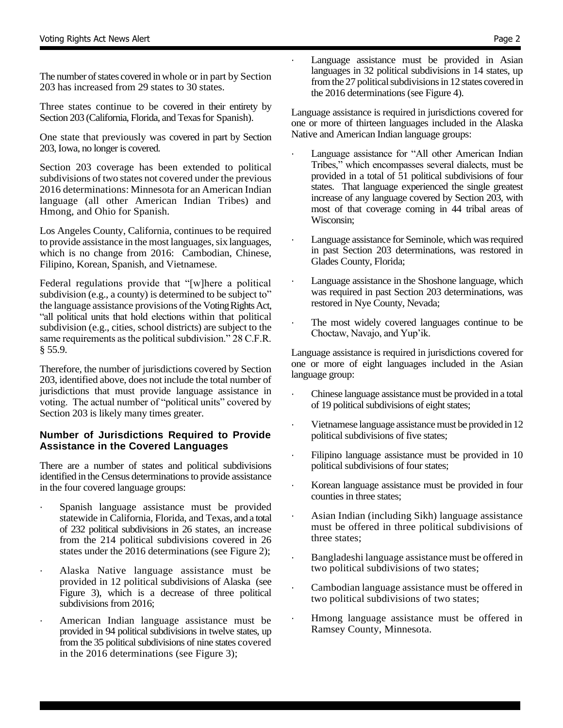The number of states covered in whole or in part by Section 203 has increased from 29 states to 30 states.

Three states continue to be covered in their entirety by Section 203 (California, Florida, and Texas for Spanish).

One state that previously was covered in part by Section 203, Iowa, no longer is covered.

Section 203 coverage has been extended to political subdivisions of two states not covered under the previous 2016 determinations: Minnesota for an American Indian language (all other American Indian Tribes) and Hmong, and Ohio for Spanish.

Los Angeles County, California, continues to be required to provide assistance in the most languages, six languages, which is no change from 2016: Cambodian, Chinese, Filipino, Korean, Spanish, and Vietnamese.

Federal regulations provide that "[w]here a political subdivision (e.g., a county) is determined to be subject to" the language assistance provisions of the Voting Rights Act, "all political units that hold elections within that political subdivision (e.g., cities, school districts) are subject to the same requirements as the political subdivision." 28 C.F.R. § 55.9.

Therefore, the number of jurisdictions covered by Section 203, identified above, does not include the total number of jurisdictions that must provide language assistance in voting. The actual number of "political units" covered by Section 203 is likely many times greater.

# **Number of Jurisdictions Required to Provide Assistance in the Covered Languages**

There are a number of states and political subdivisions identified in the Census determinations to provide assistance in the four covered language groups:

- · Spanish language assistance must be provided statewide in California, Florida, and Texas, and a total of 232 political subdivisions in 26 states, an increase from the 214 political subdivisions covered in 26 states under the 2016 determinations (see Figure 2);
- Alaska Native language assistance must be provided in 12 political subdivisions of Alaska (see Figure 3), which is a decrease of three political subdivisions from 2016;
- American Indian language assistance must be provided in 94 political subdivisions in twelve states, up from the 35 political subdivisions of nine states covered in the 2016 determinations (see Figure 3);

Language assistance must be provided in Asian languages in 32 political subdivisions in 14 states, up from the 27 political subdivisions in 12 states covered in the 2016 determinations (see Figure 4).

Language assistance is required in jurisdictions covered for one or more of thirteen languages included in the Alaska Native and American Indian language groups:

- Language assistance for "All other American Indian Tribes," which encompasses several dialects, must be provided in a total of 51 political subdivisions of four states. That language experienced the single greatest increase of any language covered by Section 203, with most of that coverage coming in 44 tribal areas of Wisconsin;
- Language assistance for Seminole, which was required in past Section 203 determinations, was restored in Glades County, Florida;
- Language assistance in the Shoshone language, which was required in past Section 203 determinations, was restored in Nye County, Nevada;
- The most widely covered languages continue to be Choctaw, Navajo, and Yup'ik.

Language assistance is required in jurisdictions covered for one or more of eight languages included in the Asian language group:

- · Chinese language assistance must be provided in a total of 19 political subdivisions of eight states;
- Vietnamese language assistance must be provided in 12 political subdivisions of five states;
- Filipino language assistance must be provided in 10 political subdivisions of four states;
- Korean language assistance must be provided in four counties in three states;
- Asian Indian (including Sikh) language assistance must be offered in three political subdivisions of three states;
- Bangladeshi language assistance must be offered in two political subdivisions of two states;
- Cambodian language assistance must be offered in two political subdivisions of two states;
- · Hmong language assistance must be offered in Ramsey County, Minnesota.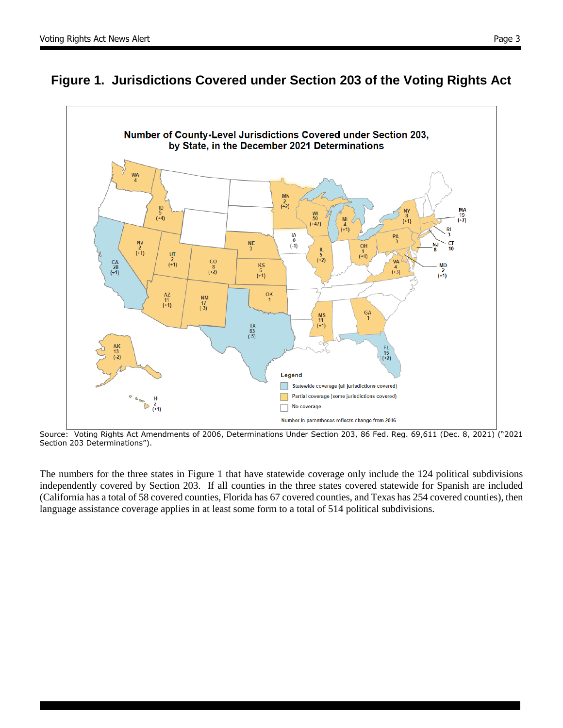



Source: Voting Rights Act Amendments of 2006, Determinations Under Section 203, 86 Fed. Reg. 69,611 (Dec. 8, 2021) ("2021 Section 203 Determinations").

The numbers for the three states in Figure 1 that have statewide coverage only include the 124 political subdivisions independently covered by Section 203. If all counties in the three states covered statewide for Spanish are included (California has a total of 58 covered counties, Florida has 67 covered counties, and Texas has 254 covered counties), then language assistance coverage applies in at least some form to a total of 514 political subdivisions.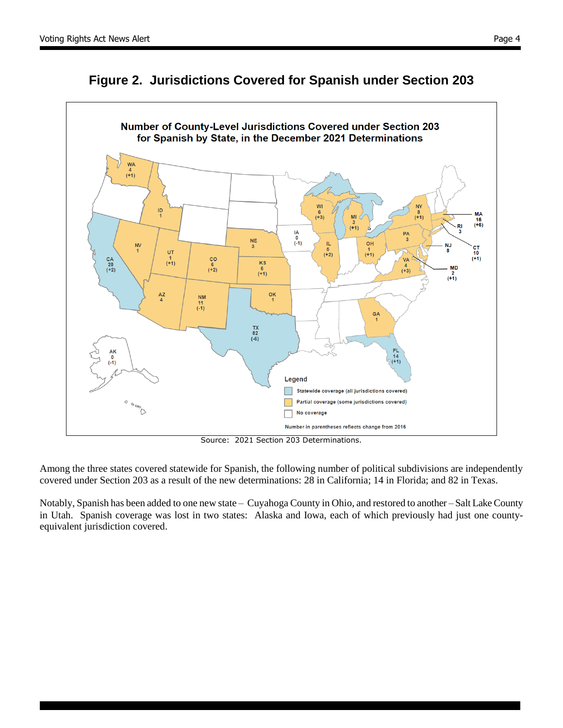



Source: 2021 Section 203 Determinations.

Among the three states covered statewide for Spanish, the following number of political subdivisions are independently covered under Section 203 as a result of the new determinations: 28 in California; 14 in Florida; and 82 in Texas.

Notably, Spanish has been added to one new state – Cuyahoga County in Ohio, and restored to another – Salt Lake County in Utah. Spanish coverage was lost in two states: Alaska and Iowa, each of which previously had just one countyequivalent jurisdiction covered.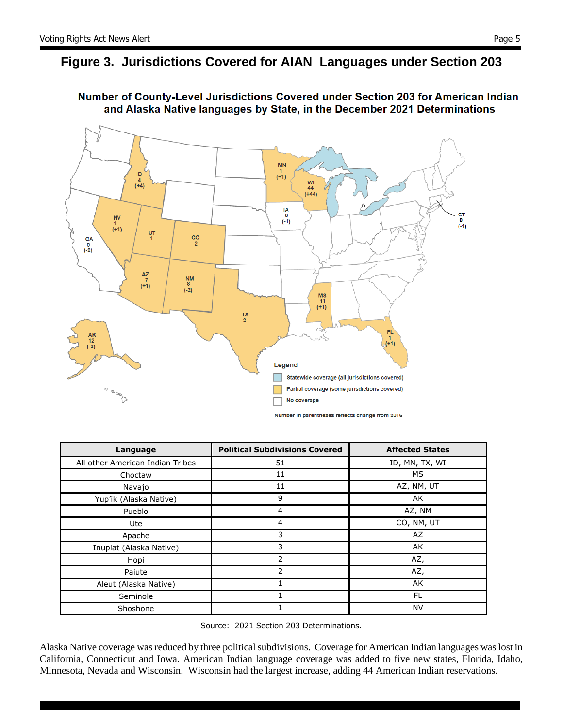# **Figure 3. Jurisdictions Covered for AIAN Languages under Section 203**



| Language                         | <b>Political Subdivisions Covered</b> | <b>Affected States</b> |
|----------------------------------|---------------------------------------|------------------------|
| All other American Indian Tribes | 51                                    | ID, MN, TX, WI         |
| Choctaw                          | 11                                    | МS                     |
| Navajo                           | 11                                    | AZ, NM, UT             |
| Yup'ik (Alaska Native)           | 9                                     | AK                     |
| Pueblo                           | $\overline{4}$                        | AZ, NM                 |
| Ute                              | 4                                     | CO, NM, UT             |
| Apache                           | 3                                     | AZ                     |
| Inupiat (Alaska Native)          | 3                                     | AK                     |
| Hopi                             | 2                                     | AZ,                    |
| Paiute                           | $\overline{2}$                        | AZ,                    |
| Aleut (Alaska Native)            |                                       | AK                     |
| Seminole                         |                                       | FL                     |
| Shoshone                         |                                       | <b>NV</b>              |

Source: 2021 Section 203 Determinations.

Alaska Native coverage was reduced by three political subdivisions. Coverage for American Indian languages was lost in California, Connecticut and Iowa. American Indian language coverage was added to five new states, Florida, Idaho, Minnesota, Nevada and Wisconsin. Wisconsin had the largest increase, adding 44 American Indian reservations.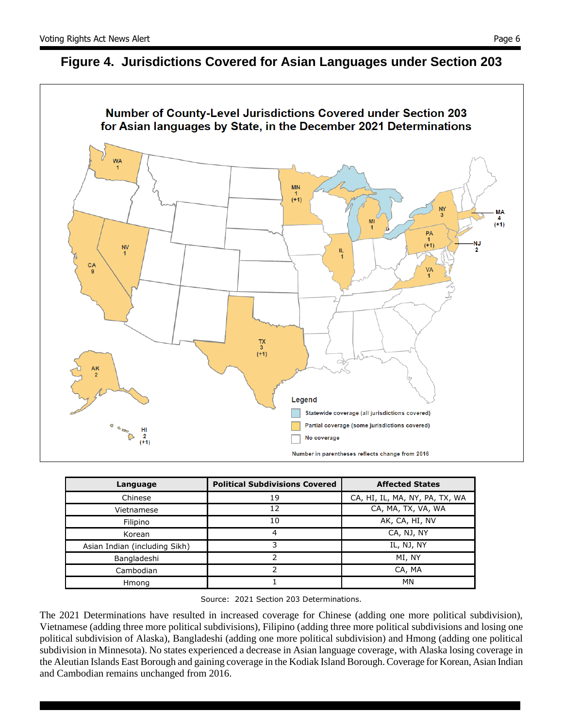



| Language                      | <b>Political Subdivisions Covered</b> | <b>Affected States</b>         |
|-------------------------------|---------------------------------------|--------------------------------|
| Chinese                       | 19                                    | CA, HI, IL, MA, NY, PA, TX, WA |
| Vietnamese                    | 12                                    | CA, MA, TX, VA, WA             |
| Filipino                      | 10                                    | AK, CA, HI, NV                 |
| Korean                        | 4                                     | CA, NJ, NY                     |
| Asian Indian (including Sikh) |                                       | IL, NJ, NY                     |
| Bangladeshi                   |                                       | MI, NY                         |
| Cambodian                     |                                       | CA, MA                         |
| Hmong                         |                                       | MN                             |

Source: 2021 Section 203 Determinations.

The 2021 Determinations have resulted in increased coverage for Chinese (adding one more political subdivision), Vietnamese (adding three more political subdivisions), Filipino (adding three more political subdivisions and losing one political subdivision of Alaska), Bangladeshi (adding one more political subdivision) and Hmong (adding one political subdivision in Minnesota). No states experienced a decrease in Asian language coverage, with Alaska losing coverage in the Aleutian Islands East Borough and gaining coverage in the Kodiak Island Borough. Coverage for Korean, Asian Indian and Cambodian remains unchanged from 2016.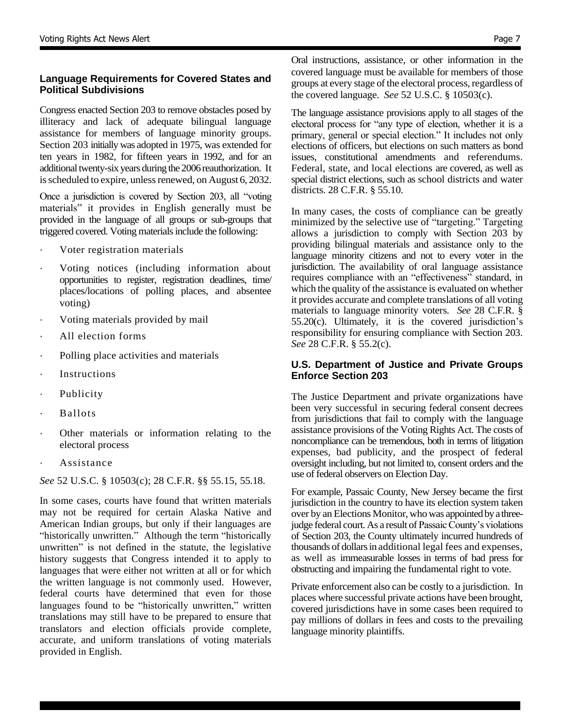# **Language Requirements for Covered States and Political Subdivisions**

Congress enacted Section 203 to remove obstacles posed by illiteracy and lack of adequate bilingual language assistance for members of language minority groups. Section 203 initially was adopted in 1975, was extended for ten years in 1982, for fifteen years in 1992, and for an additional twenty-six years during the 2006 reauthorization. It is scheduled to expire, unless renewed, on August 6, 2032.

Once a jurisdiction is covered by Section 203, all "voting materials" it provides in English generally must be provided in the language of all groups or sub-groups that triggered covered. Voting materials include the following:

- Voter registration materials
- Voting notices (including information about opportunities to register, registration deadlines, time/ places/locations of polling places, and absentee voting)
- Voting materials provided by mail
- · All election forms
- · Polling place activities and materials
- · Instructions
- · Publicity
- · Ballots
- Other materials or information relating to the electoral process
- **Assistance**

*See* 52 U.S.C. § 10503(c); 28 C.F.R. §§ 55.15, 55.18.

In some cases, courts have found that written materials may not be required for certain Alaska Native and American Indian groups, but only if their languages are "historically unwritten." Although the term "historically unwritten" is not defined in the statute, the legislative history suggests that Congress intended it to apply to languages that were either not written at all or for which the written language is not commonly used. However, federal courts have determined that even for those languages found to be "historically unwritten," written translations may still have to be prepared to ensure that translators and election officials provide complete, accurate, and uniform translations of voting materials provided in English.

Oral instructions, assistance, or other information in the covered language must be available for members of those groups at every stage of the electoral process, regardless of the covered language. *See* 52 U.S.C. § 10503(c).

The language assistance provisions apply to all stages of the electoral process for "any type of election, whether it is a primary, general or special election." It includes not only elections of officers, but elections on such matters as bond issues, constitutional amendments and referendums. Federal, state, and local elections are covered, as well as special district elections, such as school districts and water districts. 28 C.F.R. § 55.10.

In many cases, the costs of compliance can be greatly minimized by the selective use of "targeting." Targeting allows a jurisdiction to comply with Section 203 by providing bilingual materials and assistance only to the language minority citizens and not to every voter in the jurisdiction. The availability of oral language assistance requires compliance with an "effectiveness" standard, in which the quality of the assistance is evaluated on whether it provides accurate and complete translations of all voting materials to language minority voters. *See* 28 C.F.R. § 55.20(c). Ultimately, it is the covered jurisdiction's responsibility for ensuring compliance with Section 203. *See* 28 C.F.R. § 55.2(c).

#### **U.S. Department of Justice and Private Groups Enforce Section 203**

The Justice Department and private organizations have been very successful in securing federal consent decrees from jurisdictions that fail to comply with the language assistance provisions of the Voting Rights Act. The costs of noncompliance can be tremendous, both in terms of litigation expenses, bad publicity, and the prospect of federal oversight including, but not limited to, consent orders and the use of federal observers on Election Day.

For example, Passaic County, New Jersey became the first jurisdiction in the country to have its election system taken over by an Elections Monitor, who was appointed by a threejudge federal court. As a result of Passaic County's violations of Section 203, the County ultimately incurred hundreds of thousands of dollars in additional legal fees and expenses, as well as immeasurable losses in terms of bad press for obstructing and impairing the fundamental right to vote.

Private enforcement also can be costly to a jurisdiction. In places where successful private actions have been brought, covered jurisdictions have in some cases been required to pay millions of dollars in fees and costs to the prevailing language minority plaintiffs.